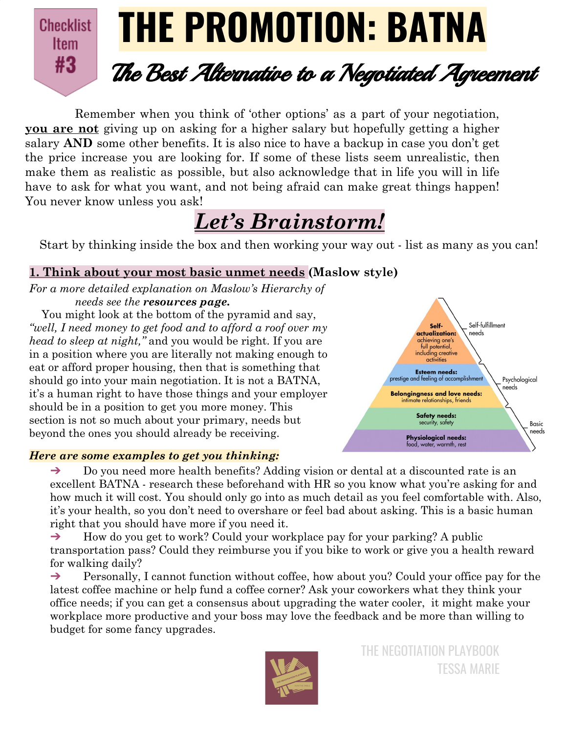

Remember when you think of 'other options' as a part of your negotiation, **you are not** giving up on asking for a higher salary but hopefully getting a higher salary **AND** some other benefits. It is also nice to have a backup in case you don't get the price increase you are looking for. If some of these lists seem unrealistic, then make them as realistic as possible, but also acknowledge that in life you will in life have to ask for what you want, and not being afraid can make great things happen! You never know unless you ask!

# *Let's Brainstorm!*

Start by thinking inside the box and then working your way out - list as many as you can!

# **1. Think about your most basic unmet needs (Maslow style)**

*For a more detailed explanation on Maslow's Hierarchy of needs see the resources page.*

You might look at the bottom of the pyramid and say, *"well, I need money to get food and to afford a roof over my head to sleep at night,"* and you would be right. If you are in a position where you are literally not making enough to eat or afford proper housing, then that is something that should go into your main negotiation. It is not a BATNA, it's a human right to have those things and your employer should be in a position to get you more money. This section is not so much about your primary, needs but beyond the ones you should already be receiving.





 $\rightarrow$  Do you need more health benefits? Adding vision or dental at a discounted rate is an excellent BATNA - research these beforehand with HR so you know what you're asking for and how much it will cost. You should only go into as much detail as you feel comfortable with. Also, it's your health, so you don't need to overshare or feel bad about asking. This is a basic human right that you should have more if you need it.

 $\rightarrow$  How do you get to work? Could your workplace pay for your parking? A public transportation pass? Could they reimburse you if you bike to work or give you a health reward for walking daily?

→ Personally, I cannot function without coffee, how about you? Could your office pay for the latest coffee machine or help fund a coffee corner? Ask your coworkers what they think your office needs; if you can get a consensus about upgrading the water cooler, it might make your workplace more productive and your boss may love the feedback and be more than willing to budget for some fancy upgrades.

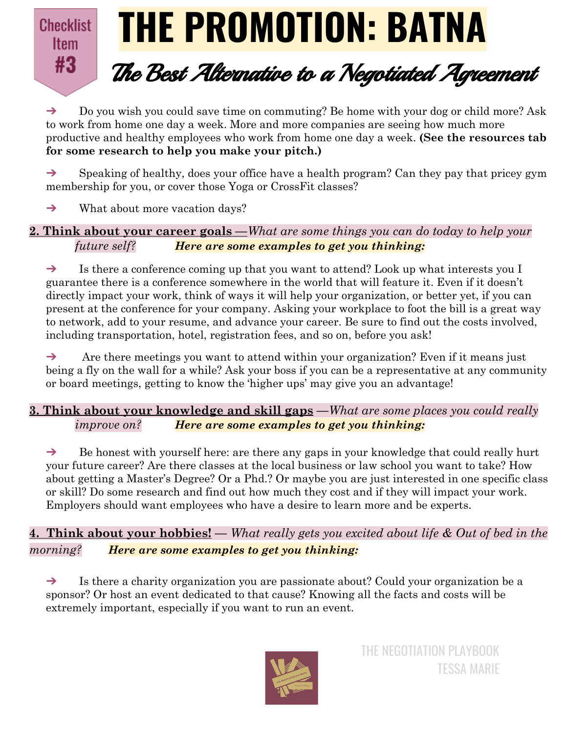

➔ Do you wish you could save time on commuting? Be home with your dog or child more? Ask to work from home one day a week. More and more companies are seeing how much more productive and healthy employees who work from home one day a week. **(See the resources tab for some research to help you make your pitch.)**

 $\rightarrow$  Speaking of healthy, does your office have a health program? Can they pay that pricey gym membership for you, or cover those Yoga or CrossFit classes?

→ What about more vacation days?

**2. Think about your career goals —***What are some things you can do today to help your future self? Here are some examples to get you thinking:*

➔ Is there a conference coming up that you want to attend? Look up what interests you I guarantee there is a conference somewhere in the world that will feature it. Even if it doesn't directly impact your work, think of ways it will help your organization, or better yet, if you can present at the conference for your company. Asking your workplace to foot the bill is a great way to network, add to your resume, and advance your career. Be sure to find out the costs involved, including transportation, hotel, registration fees, and so on, before you ask!

 $\rightarrow$  Are there meetings you want to attend within your organization? Even if it means just being a fly on the wall for a while? Ask your boss if you can be a representative at any community or board meetings, getting to know the 'higher ups' may give you an advantage!

# **3. Think about your knowledge and skill gaps —***What are some places you could really improve on? Here are some examples to get you thinking:*

 $\rightarrow$  Be honest with yourself here: are there any gaps in your knowledge that could really hurt your future career? Are there classes at the local business or law school you want to take? How about getting a Master's Degree? Or a Phd.? Or maybe you are just interested in one specific class or skill? Do some research and find out how much they cost and if they will impact your work. Employers should want employees who have a desire to learn more and be experts.

**4. Think about your hobbies! —** *What really gets you excited about life & Out of bed in the morning? Here are some examples to get you thinking:*

 $\rightarrow$  Is there a charity organization you are passionate about? Could your organization be a sponsor? Or host an event dedicated to that cause? Knowing all the facts and costs will be extremely important, especially if you want to run an event.

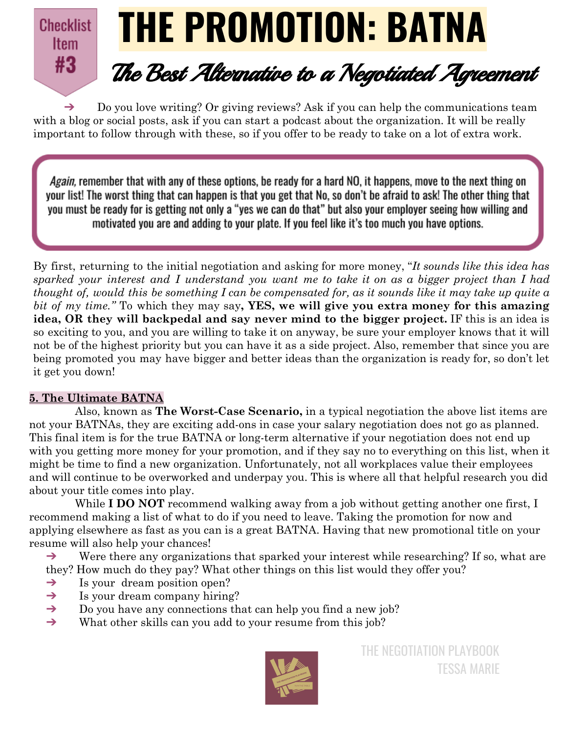# **THE PROMOTION: BATNA Checklist Item** #3 The Best Alternative to <sup>a</sup> Negotiated Agreement

 $\rightarrow$  Do you love writing? Or giving reviews? Ask if you can help the communications team with a blog or social posts, ask if you can start a podcast about the organization. It will be really important to follow through with these, so if you offer to be ready to take on a lot of extra work.

*Again,* remember that with any of these options, be ready for a hard NO, it happens, move to the next thing on your list! The worst thing that can happen is that you get that No, so don't be afraid to ask! The other thing that you must be ready for is getting not only a "yes we can do that" but also your employer seeing how willing and motivated you are and adding to your plate. If you feel like it's too much you have options.

By first, returning to the initial negotiation and asking for more money, "*It sounds like this idea has* sparked your interest and I understand you want me to take it on as a bigger project than I had thought of, would this be something I can be compensated for, as it sounds like it may take up quite a *bit of my time."* To which they may say**, YES, we will give you extra money for this amazing idea, OR they will backpedal and say never mind to the bigger project.** IF this is an idea is so exciting to you, and you are willing to take it on anyway, be sure your employer knows that it will not be of the highest priority but you can have it as a side project. Also, remember that since you are being promoted you may have bigger and better ideas than the organization is ready for, so don't let it get you down!

#### **5. The Ultimate BATNA**

Also, known as **The Worst-Case Scenario,** in a typical negotiation the above list items are not your BATNAs, they are exciting add-ons in case your salary negotiation does not go as planned. This final item is for the true BATNA or long-term alternative if your negotiation does not end up with you getting more money for your promotion, and if they say no to everything on this list, when it might be time to find a new organization. Unfortunately, not all workplaces value their employees and will continue to be overworked and underpay you. This is where all that helpful research you did about your title comes into play.

While **I DO NOT** recommend walking away from a job without getting another one first, I recommend making a list of what to do if you need to leave. Taking the promotion for now and applying elsewhere as fast as you can is a great BATNA. Having that new promotional title on your resume will also help your chances!

 $\rightarrow$  Were there any organizations that sparked your interest while researching? If so, what are they? How much do they pay? What other things on this list would they offer you?

- $\rightarrow$  Is your dream position open?
- $\rightarrow$  Is your dream company hiring?
- ➔ Do you have any connections that can help you find a new job?
- ➔ What other skills can you add to your resume from this job?

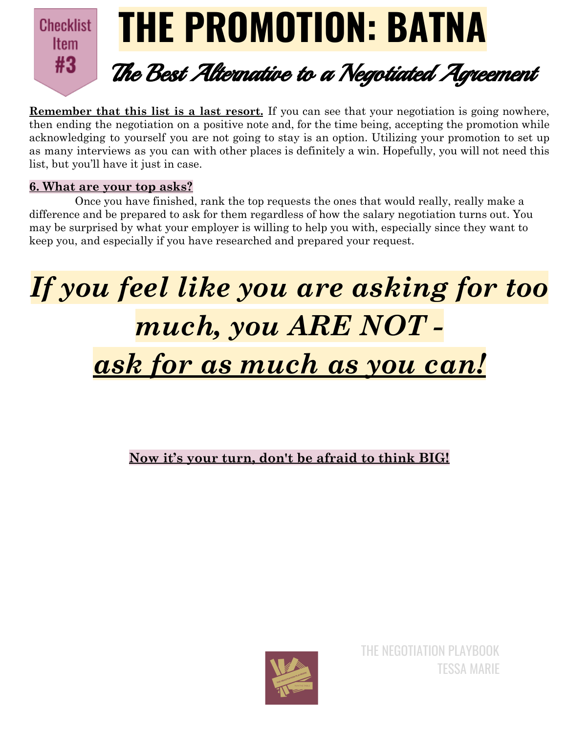

**Remember that this list is a last resort.** If you can see that your negotiation is going nowhere, then ending the negotiation on a positive note and, for the time being, accepting the promotion while acknowledging to yourself you are not going to stay is an option. Utilizing your promotion to set up as many interviews as you can with other places is definitely a win. Hopefully, you will not need this list, but you'll have it just in case.

# **6. What are your top asks?**

Once you have finished, rank the top requests the ones that would really, really make a difference and be prepared to ask for them regardless of how the salary negotiation turns out. You may be surprised by what your employer is willing to help you with, especially since they want to keep you, and especially if you have researched and prepared your request.

# *If you feel like you are asking for too much, you ARE NOT ask for as much as you can!*

# **Now it's your turn, don't be afraid to think BIG!**

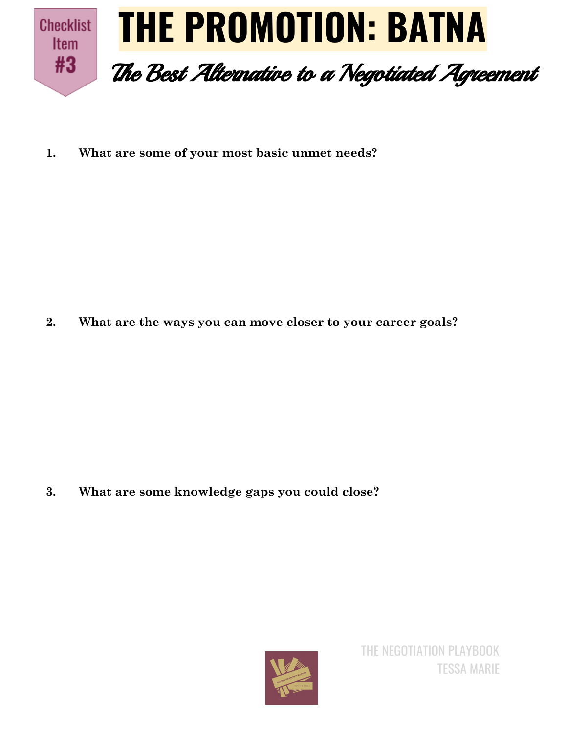

**1. What are some of your most basic unmet needs?**

**2. What are the ways you can move closer to your career goals?**

**3. What are some knowledge gaps you could close?**